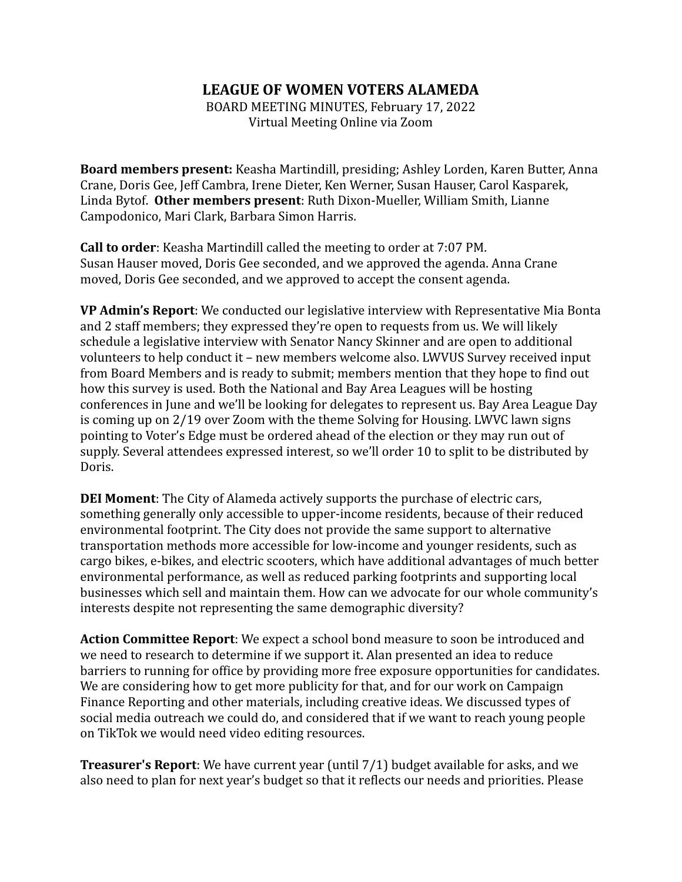## **LEAGUE OF WOMEN VOTERS ALAMEDA**

BOARD MEETING MINUTES, February 17, 2022 Virtual Meeting Online via Zoom

**Board members present:** Keasha Martindill, presiding; Ashley Lorden, Karen Butter, Anna Crane, Doris Gee, Jeff Cambra, Irene Dieter, Ken Werner, Susan Hauser, Carol Kasparek, Linda Bytof. **Other members present**: Ruth Dixon-Mueller, William Smith, Lianne Campodonico, Mari Clark, Barbara Simon Harris.

**Call to order**: Keasha Martindill called the meeting to order at 7:07 PM. Susan Hauser moved, Doris Gee seconded, and we approved the agenda. Anna Crane moved, Doris Gee seconded, and we approved to accept the consent agenda.

**VP Admin's Report**: We conducted our legislative interview with Representative Mia Bonta and 2 staff members; they expressed they're open to requests from us. We will likely schedule a legislative interview with Senator Nancy Skinner and are open to additional volunteers to help conduct it – new members welcome also. LWVUS Survey received input from Board Members and is ready to submit; members mention that they hope to find out how this survey is used. Both the National and Bay Area Leagues will be hosting conferences in June and we'll be looking for delegates to represent us. Bay Area League Day is coming up on 2/19 over Zoom with the theme Solving for Housing. LWVC lawn signs pointing to Voter's Edge must be ordered ahead of the election or they may run out of supply. Several attendees expressed interest, so we'll order 10 to split to be distributed by Doris.

**DEI Moment**: The City of Alameda actively supports the purchase of electric cars, something generally only accessible to upper-income residents, because of their reduced environmental footprint. The City does not provide the same support to alternative transportation methods more accessible for low-income and younger residents, such as cargo bikes, e-bikes, and electric scooters, which have additional advantages of much better environmental performance, as well as reduced parking footprints and supporting local businesses which sell and maintain them. How can we advocate for our whole community's interests despite not representing the same demographic diversity?

**Action Committee Report**: We expect a school bond measure to soon be introduced and we need to research to determine if we support it. Alan presented an idea to reduce barriers to running for office by providing more free exposure opportunities for candidates. We are considering how to get more publicity for that, and for our work on Campaign Finance Reporting and other materials, including creative ideas. We discussed types of social media outreach we could do, and considered that if we want to reach young people on TikTok we would need video editing resources.

**Treasurer's Report**: We have current year (until 7/1) budget available for asks, and we also need to plan for next year's budget so that it reflects our needs and priorities. Please